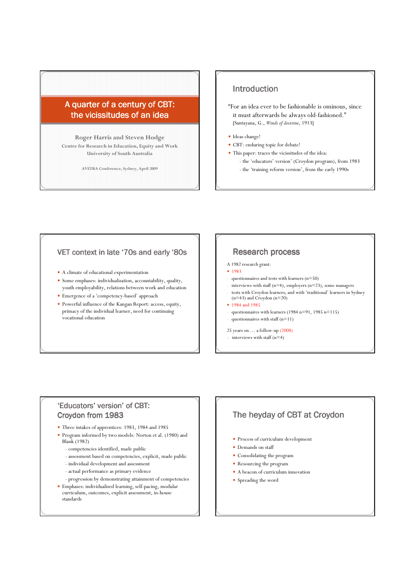# A quarter of a century of CBT: the vicissitudes of an idea

Roger Harris and Steven Hodge Centre for Research in Education, Equity and Work University of South Australia

AVETRA Conference, Sydney, April 2009

# Introduction

"For an idea ever to be fashionable is ominous, since it must afterwards be always old-fashioned." [Santayana, G., Winds of doctrine, 1913]

- Ideas change!
- CBT: enduring topic for debate!
- This paper: traces the vicissitudes of the idea:
	- the 'educators' version' (Croydon program), from 1983
	- the 'training reform version', from the early 1990s

#### VET context in late '70s and early '80s

- A climate of educational experimentation
- Some emphases: individualisation, accountability, quality, youth employability, relations between work and education
- Emergence of a 'competency-based' approach
- Powerful influence of the Kangan Report: access, equity, primacy of the individual learner, need for continuing vocational education

### Research process

- A 1982 research grant:
- $1983$
- questionnaires and tests with learners  $(n=50)$
- interviews with staff (n=4), employers (n=23), some managers
- tests with Croydon learners; and with 'traditional' learners in Sydney (n=43) and Croydon (n=20)
- 1984 and 1985
- questionnaires with learners (1984 n=91, 1985 n=115)
- questionnaires with staff  $(n=11)$
- 25 years on … a follow-up (2008)
- interviews with staff (n=4)

#### 'Educators' version' of CBT: Croydon from 1983

- Three intakes of apprentices: 1983, 1984 and 1985
- Program informed by two models: Norton et al. (1980) and Blank (1982)
	- competencies identified, made public
	- assessment based on competencies, explicit, made public
	- individual development and assessment
	- actual performance as primary evidence
	- progression by demonstrating attainment of competencies
- Emphases: individualised learning, self-pacing, modular curriculum, outcomes, explicit assessment, in-house standards

### The heyday of CBT at Croydon

- Process of curriculum development
- Demands on staff
- Consolidating the program
- Resourcing the program
- A beacon of curriculum innovation
- Spreading the word